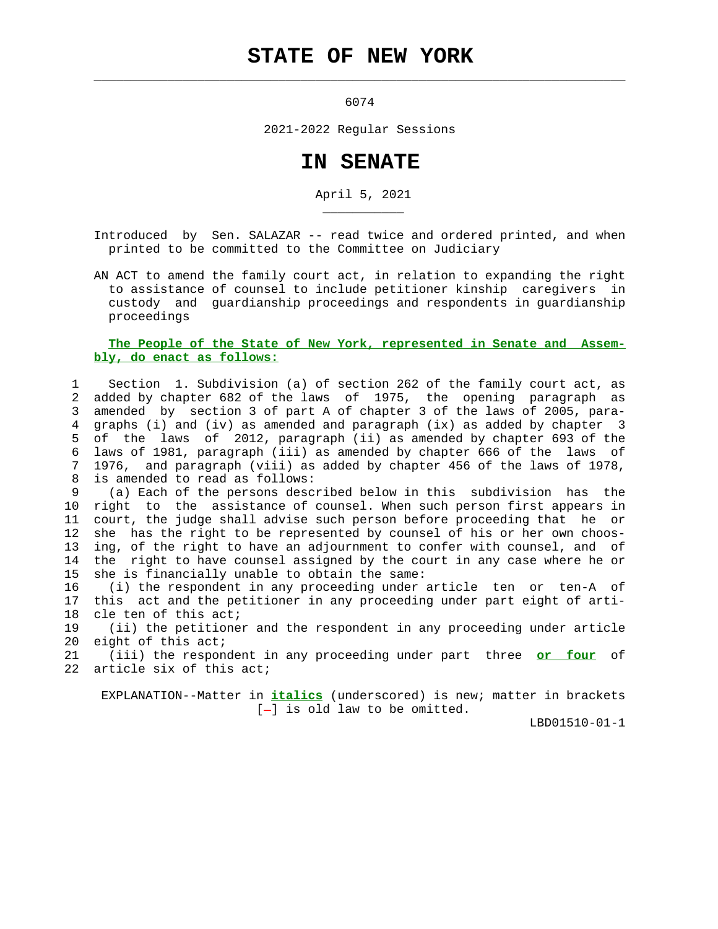## **STATE OF NEW YORK**

 $\mathcal{L}_\text{max} = \frac{1}{2} \sum_{i=1}^{n} \frac{1}{2} \sum_{i=1}^{n} \frac{1}{2} \sum_{i=1}^{n} \frac{1}{2} \sum_{i=1}^{n} \frac{1}{2} \sum_{i=1}^{n} \frac{1}{2} \sum_{i=1}^{n} \frac{1}{2} \sum_{i=1}^{n} \frac{1}{2} \sum_{i=1}^{n} \frac{1}{2} \sum_{i=1}^{n} \frac{1}{2} \sum_{i=1}^{n} \frac{1}{2} \sum_{i=1}^{n} \frac{1}{2} \sum_{i=1}^{n} \frac{1$ 

\_\_\_\_\_\_\_\_\_\_\_

6074

2021-2022 Regular Sessions

## **IN SENATE**

April 5, 2021

 Introduced by Sen. SALAZAR -- read twice and ordered printed, and when printed to be committed to the Committee on Judiciary

 AN ACT to amend the family court act, in relation to expanding the right to assistance of counsel to include petitioner kinship caregivers in custody and guardianship proceedings and respondents in guardianship proceedings

## **The People of the State of New York, represented in Senate and Assem bly, do enact as follows:**

 1 Section 1. Subdivision (a) of section 262 of the family court act, as 2 added by chapter 682 of the laws of 1975, the opening paragraph as 3 amended by section 3 of part A of chapter 3 of the laws of 2005, para- 4 graphs (i) and (iv) as amended and paragraph (ix) as added by chapter 3 5 of the laws of 2012, paragraph (ii) as amended by chapter 693 of the 6 laws of 1981, paragraph (iii) as amended by chapter 666 of the laws of 7 1976, and paragraph (viii) as added by chapter 456 of the laws of 1978, 8 is amended to read as follows:

 9 (a) Each of the persons described below in this subdivision has the 10 right to the assistance of counsel. When such person first appears in 11 court, the judge shall advise such person before proceeding that he or 12 she has the right to be represented by counsel of his or her own choos- 13 ing, of the right to have an adjournment to confer with counsel, and of 14 the right to have counsel assigned by the court in any case where he or 15 she is financially unable to obtain the same:

 16 (i) the respondent in any proceeding under article ten or ten-A of 17 this act and the petitioner in any proceeding under part eight of arti- 18 cle ten of this act;

 19 (ii) the petitioner and the respondent in any proceeding under article 20 eight of this act;

 21 (iii) the respondent in any proceeding under part three **or four** of 22 article six of this act;

 EXPLANATION--Matter in **italics** (underscored) is new; matter in brackets  $[-]$  is old law to be omitted.

LBD01510-01-1